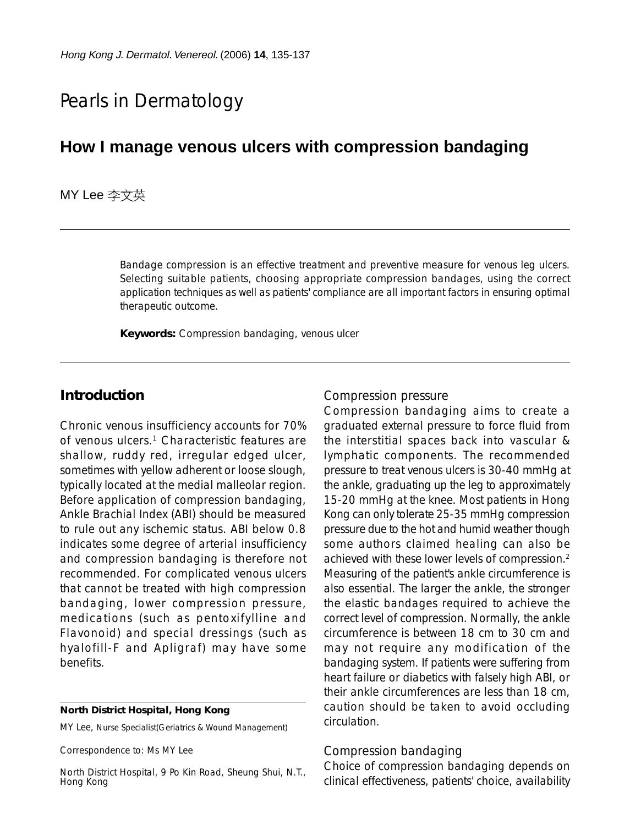# Pearls in Dermatology

## **How I manage venous ulcers with compression bandaging**

**MY Lee** 李文英

Bandage compression is an effective treatment and preventive measure for venous leg ulcers. Selecting suitable patients, choosing appropriate compression bandages, using the correct application techniques as well as patients' compliance are all important factors in ensuring optimal therapeutic outcome.

**Keywords:** Compression bandaging, venous ulcer

## **Introduction**

Chronic venous insufficiency accounts for 70% of venous ulcers.1 Characteristic features are shallow, ruddy red, irregular edged ulcer, sometimes with yellow adherent or loose slough, typically located at the medial malleolar region. Before application of compression bandaging, Ankle Brachial Index (ABI) should be measured to rule out any ischemic status. ABI below 0.8 indicates some degree of arterial insufficiency and compression bandaging is therefore not recommended. For complicated venous ulcers that cannot be treated with high compression bandaging, lower compression pressure, medications (such as pentoxifylline and Flavonoid) and special dressings (such as hyalofill-F and Apligraf) may have some benefits.

#### **North District Hospital, Hong Kong**

MY Lee, Nurse Specialist(Geriatrics & Wound Management)

Correspondence to: Ms MY Lee

North District Hospital, 9 Po Kin Road, Sheung Shui, N.T., Hong Kong

#### *Compression pressure*

Compression bandaging aims to create a graduated external pressure to force fluid from the interstitial spaces back into vascular & lymphatic components. The recommended pressure to treat venous ulcers is 30-40 mmHg at the ankle, graduating up the leg to approximately 15-20 mmHg at the knee. Most patients in Hong Kong can only tolerate 25-35 mmHg compression pressure due to the hot and humid weather though some authors claimed healing can also be achieved with these lower levels of compression.2 Measuring of the patient's ankle circumference is also essential. The larger the ankle, the stronger the elastic bandages required to achieve the correct level of compression. Normally, the ankle circumference is between 18 cm to 30 cm and may not require any modification of the bandaging system. If patients were suffering from heart failure or diabetics with falsely high ABI, or their ankle circumferences are less than 18 cm, caution should be taken to avoid occluding circulation.

#### *Compression bandaging*

Choice of compression bandaging depends on clinical effectiveness, patients' choice, availability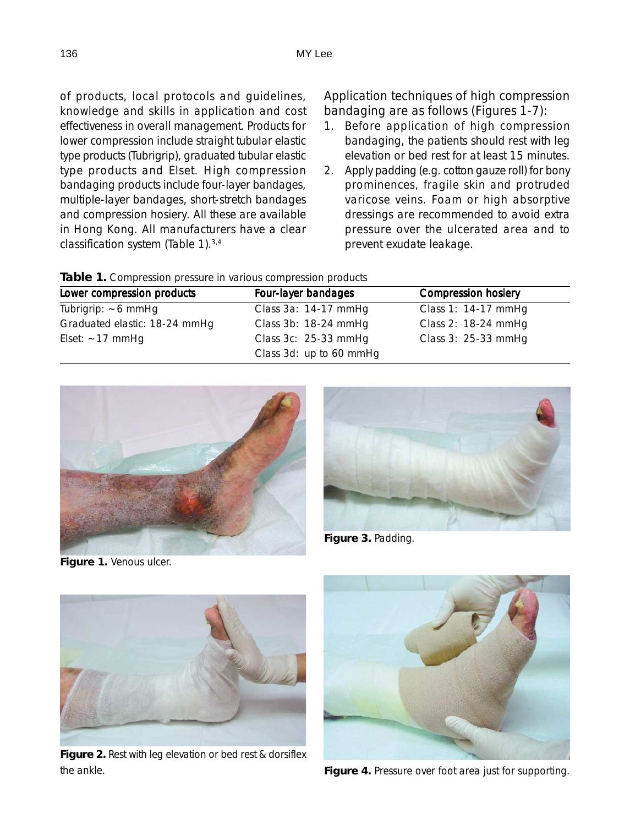of products, local protocols and guidelines, knowledge and skills in application and cost effectiveness in overall management. Products for lower compression include straight tubular elastic type products (Tubrigrip), graduated tubular elastic type products and Elset. High compression bandaging products include four-layer bandages, multiple-layer bandages, short-stretch bandages and compression hosiery. All these are available in Hong Kong. All manufacturers have a clear classification system (Table 1).3,4

### *Application techniques of high compression bandaging are as follows (Figures 1-7):*

- 1. Before application of high compression bandaging, the patients should rest with leg elevation or bed rest for at least 15 minutes.
- 2. Apply padding (e.g. cotton gauze roll) for bony prominences, fragile skin and protruded varicose veins. Foam or high absorptive dressings are recommended to avoid extra pressure over the ulcerated area and to prevent exudate leakage.

|  |  |  |  | Table 1. Compression pressure in various compression products |
|--|--|--|--|---------------------------------------------------------------|
|  |  |  |  |                                                               |

| Lower compression products    | Four-layer bandages     | <b>Compression hosiery</b> |  |  |
|-------------------------------|-------------------------|----------------------------|--|--|
| Tubrigrip: $\sim$ 6 mmHg      | Class 3a: 14-17 mmHg    | Class 1: $14-17$ mmHq      |  |  |
| Graduated elastic: 18-24 mmHg | Class 3b: 18-24 mmHg    | Class 2: 18-24 mmHq        |  |  |
| Elset: $\sim$ 17 mmHg         | Class 3c: 25-33 mmHg    | Class 3: 25-33 mmHg        |  |  |
|                               | Class 3d: up to 60 mmHg |                            |  |  |



**Figure 1.** Venous ulcer.



**Figure 3.** Padding.



**Figure 2.** Rest with leg elevation or bed rest & dorsiflex the ankle.



**Figure 4.** Pressure over foot area just for supporting.